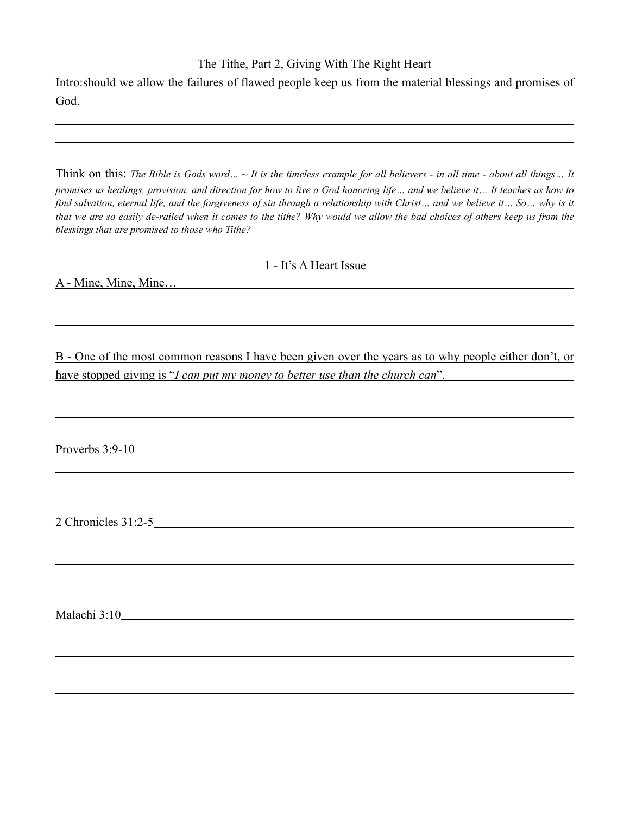## The Tithe, Part 2, Giving With The Right Heart

Intro:should we allow the failures of flawed people keep us from the material blessings and promises of God.

Think on this: *The Bible is Gods word… ~ It is the timeless example for all believers - in all time - about all things… It promises us healings, provision, and direction for how to live a God honoring life… and we believe it… It teaches us how to*  find salvation, eternal life, and the forgiveness of sin through a relationship with Christ… and we believe it… So… why is it *that we are so easily de-railed when it comes to the tithe? Why would we allow the bad choices of others keep us from the blessings that are promised to those who Tithe?*

## 1 - It's A Heart Issue

A - Mine, Mine, Mine…

 $\overline{a}$ 

 $\overline{a}$ 

 $\overline{a}$ 

B - One of the most common reasons I have been given over the years as to why people either don't, or have stopped giving is "*I can put my money to better use than the church can*".

Proverbs 3:9-10

2 Chronicles 31:2-5

Malachi 3:10

 $\overline{a}$